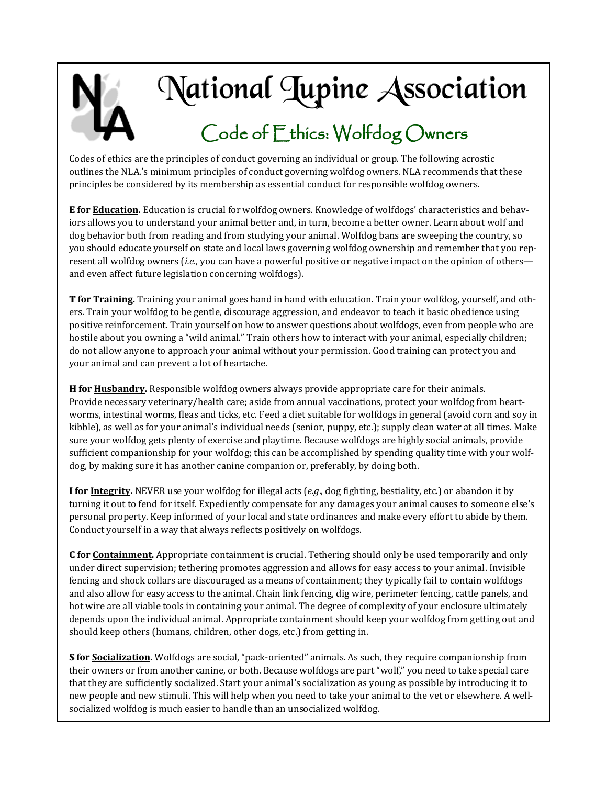

# National Lupine Association

### Code of Ethics: Wolfdog Owners

Codes of ethics are the principles of conduct governing an individual or group. The following acrostic outlines the NLA.'s minimum principles of conduct governing wolfdog owners. NLA recommends that these principles be considered by its membership as essential conduct for responsible wolfdog owners.

**E for Education.** Education is crucial for wolfdog owners. Knowledge of wolfdogs' characteristics and behaviors allows you to understand your animal better and, in turn, become a better owner. Learn about wolf and dog behavior both from reading and from studying your animal. Wolfdog bans are sweeping the country, so you should educate yourself on state and local laws governing wolfdog ownership and remember that you represent all wolfdog owners (*i.e.*, you can have a powerful positive or negative impact on the opinion of others and even affect future legislation concerning wolfdogs).

**T for Training.** Training your animal goes hand in hand with education. Train your wolfdog, yourself, and others. Train your wolfdog to be gentle, discourage aggression, and endeavor to teach it basic obedience using positive reinforcement. Train yourself on how to answer questions about wolfdogs, even from people who are hostile about you owning a "wild animal." Train others how to interact with your animal, especially children; do not allow anyone to approach your animal without your permission. Good training can protect you and your animal and can prevent a lot of heartache.

**H for Husbandry.** Responsible wolfdog owners always provide appropriate care for their animals. Provide necessary veterinary/health care; aside from annual vaccinations, protect your wolfdog from heartworms, intestinal worms, fleas and ticks, etc. Feed a diet suitable for wolfdogs in general (avoid corn and soy in kibble), as well as for your animal's individual needs (senior, puppy, etc.); supply clean water at all times. Make sure your wolfdog gets plenty of exercise and playtime. Because wolfdogs are highly social animals, provide sufficient companionship for your wolfdog; this can be accomplished by spending quality time with your wolfdog, by making sure it has another canine companion or, preferably, by doing both.

**I for Integrity.** NEVER use your wolfdog for illegal acts (*e.g*., dog fighting, bestiality, etc.) or abandon it by turning it out to fend for itself. Expediently compensate for any damages your animal causes to someone else's personal property. Keep informed of your local and state ordinances and make every effort to abide by them. Conduct yourself in a way that always reflects positively on wolfdogs.

**C for Containment.** Appropriate containment is crucial. Tethering should only be used temporarily and only under direct supervision; tethering promotes aggression and allows for easy access to your animal. Invisible fencing and shock collars are discouraged as a means of containment; they typically fail to contain wolfdogs and also allow for easy access to the animal. Chain link fencing, dig wire, perimeter fencing, cattle panels, and hot wire are all viable tools in containing your animal. The degree of complexity of your enclosure ultimately depends upon the individual animal. Appropriate containment should keep your wolfdog from getting out and should keep others (humans, children, other dogs, etc.) from getting in.

**S for Socialization.** Wolfdogs are social, "pack-oriented" animals. As such, they require companionship from their owners or from another canine, or both. Because wolfdogs are part "wolf," you need to take special care that they are sufficiently socialized. Start your animal's socialization as young as possible by introducing it to new people and new stimuli. This will help when you need to take your animal to the vet or elsewhere. A wellsocialized wolfdog is much easier to handle than an unsocialized wolfdog.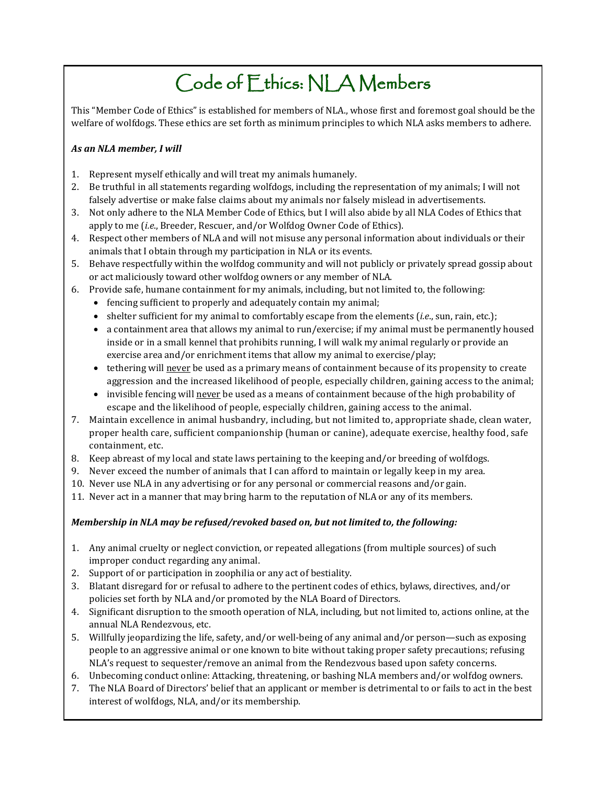## Code of Ethics: NLA Members

This "Member Code of Ethics" is established for members of NLA., whose first and foremost goal should be the welfare of wolfdogs. These ethics are set forth as minimum principles to which NLA asks members to adhere.

#### *As an NLA member, I will*

- 1. Represent myself ethically and will treat my animals humanely.
- 2. Be truthful in all statements regarding wolfdogs, including the representation of my animals; I will not falsely advertise or make false claims about my animals nor falsely mislead in advertisements.
- 3. Not only adhere to the NLA Member Code of Ethics, but I will also abide by all NLA Codes of Ethics that apply to me (*i.e*., Breeder, Rescuer, and/or Wolfdog Owner Code of Ethics).
- 4. Respect other members of NLA and will not misuse any personal information about individuals or their animals that I obtain through my participation in NLA or its events.
- 5. Behave respectfully within the wolfdog community and will not publicly or privately spread gossip about or act maliciously toward other wolfdog owners or any member of NLA.
- 6. Provide safe, humane containment for my animals, including, but not limited to, the following:
	- fencing sufficient to properly and adequately contain my animal;
	- $\bullet$  shelter sufficient for my animal to comfortably escape from the elements (*i.e.*, sun, rain, etc.);
	- a containment area that allows my animal to run/exercise; if my animal must be permanently housed inside or in a small kennel that prohibits running, I will walk my animal regularly or provide an exercise area and/or enrichment items that allow my animal to exercise/play;
	- tethering will never be used as a primary means of containment because of its propensity to create aggression and the increased likelihood of people, especially children, gaining access to the animal;
	- invisible fencing will never be used as a means of containment because of the high probability of escape and the likelihood of people, especially children, gaining access to the animal.
- 7. Maintain excellence in animal husbandry, including, but not limited to, appropriate shade, clean water, proper health care, sufficient companionship (human or canine), adequate exercise, healthy food, safe containment, etc.
- 8. Keep abreast of my local and state laws pertaining to the keeping and/or breeding of wolfdogs.
- 9. Never exceed the number of animals that I can afford to maintain or legally keep in my area.
- 10. Never use NLA in any advertising or for any personal or commercial reasons and/or gain.
- 11. Never act in a manner that may bring harm to the reputation of NLA or any of its members.

#### *Membership in NLA may be refused/revoked based on, but not limited to, the following:*

- 1. Any animal cruelty or neglect conviction, or repeated allegations (from multiple sources) of such improper conduct regarding any animal.
- 2. Support of or participation in zoophilia or any act of bestiality.
- 3. Blatant disregard for or refusal to adhere to the pertinent codes of ethics, bylaws, directives, and/or policies set forth by NLA and/or promoted by the NLA Board of Directors.
- 4. Significant disruption to the smooth operation of NLA, including, but not limited to, actions online, at the annual NLA Rendezvous, etc.
- 5. Willfully jeopardizing the life, safety, and/or well-being of any animal and/or person—such as exposing people to an aggressive animal or one known to bite without taking proper safety precautions; refusing NLA's request to sequester/remove an animal from the Rendezvous based upon safety concerns.
- 6. Unbecoming conduct online: Attacking, threatening, or bashing NLA members and/or wolfdog owners.
- 7. The NLA Board of Directors' belief that an applicant or member is detrimental to or fails to act in the best interest of wolfdogs, NLA, and/or its membership.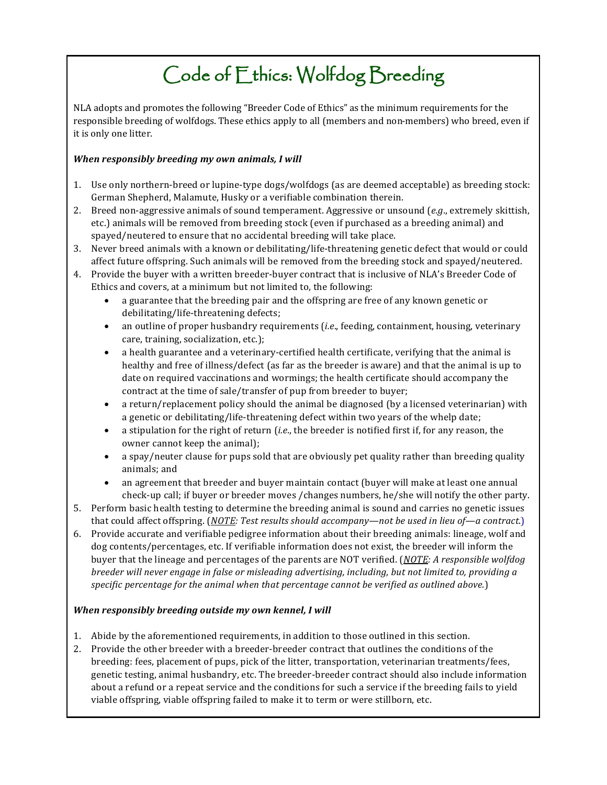### Code of Ethics: Wolfdog Breeding

NLA adopts and promotes the following "Breeder Code of Ethics" as the minimum requirements for the responsible breeding of wolfdogs. These ethics apply to all (members and non-members) who breed, even if it is only one litter.

#### *When responsibly breeding my own animals, I will*

- 1. Use only northern-breed or lupine-type dogs/wolfdogs (as are deemed acceptable) as breeding stock: German Shepherd, Malamute, Husky or a verifiable combination therein.
- 2. Breed non-aggressive animals of sound temperament. Aggressive or unsound (*e.g*., extremely skittish, etc.) animals will be removed from breeding stock (even if purchased as a breeding animal) and spayed/neutered to ensure that no accidental breeding will take place.
- 3. Never breed animals with a known or debilitating/life-threatening genetic defect that would or could affect future offspring. Such animals will be removed from the breeding stock and spayed/neutered.
- 4. Provide the buyer with a written breeder-buyer contract that is inclusive of NLA's Breeder Code of Ethics and covers, at a minimum but not limited to, the following:
	- a guarantee that the breeding pair and the offspring are free of any known genetic or debilitating/life-threatening defects;
	- an outline of proper husbandry requirements (*i.e*., feeding, containment, housing, veterinary care, training, socialization, etc.);
	- a health guarantee and a veterinary-certified health certificate, verifying that the animal is healthy and free of illness/defect (as far as the breeder is aware) and that the animal is up to date on required vaccinations and wormings; the health certificate should accompany the contract at the time of sale/transfer of pup from breeder to buyer;
	- a return/replacement policy should the animal be diagnosed (by a licensed veterinarian) with a genetic or debilitating/life-threatening defect within two years of the whelp date;
	- a stipulation for the right of return (*i.e*., the breeder is notified first if, for any reason, the owner cannot keep the animal);
	- a spay/neuter clause for pups sold that are obviously pet quality rather than breeding quality animals; and
	- an agreement that breeder and buyer maintain contact (buyer will make at least one annual check-up call; if buyer or breeder moves /changes numbers, he/she will notify the other party.
- 5. Perform basic health testing to determine the breeding animal is sound and carries no genetic issues that could affect offspring. (*NOTE: Test results should accompany—not be used in lieu of—a contract*.)
- 6. Provide accurate and verifiable pedigree information about their breeding animals: lineage, wolf and dog contents/percentages, etc. If verifiable information does not exist, the breeder will inform the buyer that the lineage and percentages of the parents are NOT verified. (*NOTE: A responsible wolfdog breeder will never engage in false or misleading advertising, including, but not limited to, providing a specific percentage for the animal when that percentage cannot be verified as outlined above.*)

#### *When responsibly breeding outside my own kennel, I will*

- 1. Abide by the aforementioned requirements, in addition to those outlined in this section.
- 2. Provide the other breeder with a breeder-breeder contract that outlines the conditions of the breeding: fees, placement of pups, pick of the litter, transportation, veterinarian treatments/fees, genetic testing, animal husbandry, etc. The breeder-breeder contract should also include information about a refund or a repeat service and the conditions for such a service if the breeding fails to yield viable offspring, viable offspring failed to make it to term or were stillborn, etc.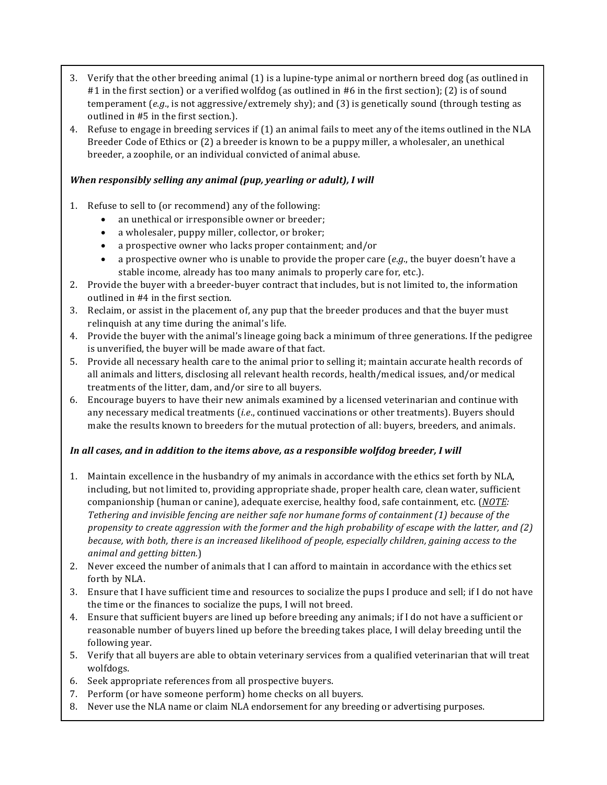- 3. Verify that the other breeding animal (1) is a lupine-type animal or northern breed dog (as outlined in #1 in the first section) or a verified wolfdog (as outlined in #6 in the first section); (2) is of sound temperament (*e.g*., is not aggressive/extremely shy); and (3) is genetically sound (through testing as outlined in #5 in the first section.).
- 4. Refuse to engage in breeding services if (1) an animal fails to meet any of the items outlined in the NLA Breeder Code of Ethics or (2) a breeder is known to be a puppy miller, a wholesaler, an unethical breeder, a zoophile, or an individual convicted of animal abuse.

#### *When responsibly selling any animal (pup, yearling or adult), I will*

- 1. Refuse to sell to (or recommend) any of the following:
	- an unethical or irresponsible owner or breeder;
	- a wholesaler, puppy miller, collector, or broker;
	- a prospective owner who lacks proper containment; and/or
	- a prospective owner who is unable to provide the proper care (*e.g*., the buyer doesn't have a stable income, already has too many animals to properly care for, etc.).
- 2. Provide the buyer with a breeder-buyer contract that includes, but is not limited to, the information outlined in #4 in the first section.
- 3. Reclaim, or assist in the placement of, any pup that the breeder produces and that the buyer must relinquish at any time during the animal's life.
- 4. Provide the buyer with the animal's lineage going back a minimum of three generations. If the pedigree is unverified, the buyer will be made aware of that fact.
- 5. Provide all necessary health care to the animal prior to selling it; maintain accurate health records of all animals and litters, disclosing all relevant health records, health/medical issues, and/or medical treatments of the litter, dam, and/or sire to all buyers.
- 6. Encourage buyers to have their new animals examined by a licensed veterinarian and continue with any necessary medical treatments (*i.e*., continued vaccinations or other treatments). Buyers should make the results known to breeders for the mutual protection of all: buyers, breeders, and animals.

#### *In all cases, and in addition to the items above, as a responsible wolfdog breeder, I will*

- 1. Maintain excellence in the husbandry of my animals in accordance with the ethics set forth by NLA, including, but not limited to, providing appropriate shade, proper health care, clean water, sufficient companionship (human or canine), adequate exercise, healthy food, safe containment, etc. (*NOTE: Tethering and invisible fencing are neither safe nor humane forms of containment (1) because of the propensity to create aggression with the former and the high probability of escape with the latter, and (2) because, with both, there is an increased likelihood of people, especially children, gaining access to the animal and getting bitten.*)
- 2. Never exceed the number of animals that I can afford to maintain in accordance with the ethics set forth by NLA.
- 3. Ensure that I have sufficient time and resources to socialize the pups I produce and sell; if I do not have the time or the finances to socialize the pups, I will not breed.
- 4. Ensure that sufficient buyers are lined up before breeding any animals; if I do not have a sufficient or reasonable number of buyers lined up before the breeding takes place, I will delay breeding until the following year.
- 5. Verify that all buyers are able to obtain veterinary services from a qualified veterinarian that will treat wolfdogs.
- 6. Seek appropriate references from all prospective buyers.
- 7. Perform (or have someone perform) home checks on all buyers.
- 8. Never use the NLA name or claim NLA endorsement for any breeding or advertising purposes.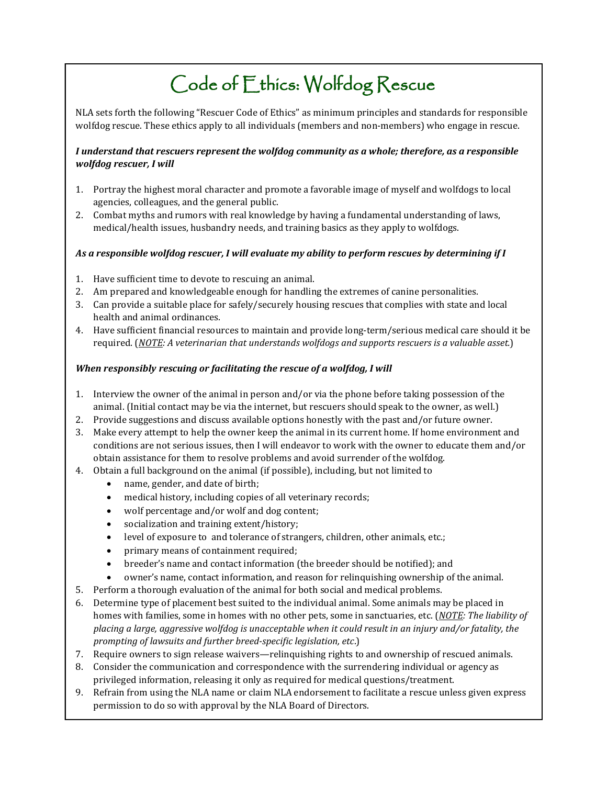# Code of Ethics: Wolfdog Rescue

NLA sets forth the following "Rescuer Code of Ethics" as minimum principles and standards for responsible wolfdog rescue. These ethics apply to all individuals (members and non-members) who engage in rescue.

#### *I understand that rescuers represent the wolfdog community as a whole; therefore, as a responsible wolfdog rescuer, I will*

- 1. Portray the highest moral character and promote a favorable image of myself and wolfdogs to local agencies, colleagues, and the general public.
- 2. Combat myths and rumors with real knowledge by having a fundamental understanding of laws, medical/health issues, husbandry needs, and training basics as they apply to wolfdogs.

#### *As a responsible wolfdog rescuer, I will evaluate my ability to perform rescues by determining if I*

- 1. Have sufficient time to devote to rescuing an animal.
- 2. Am prepared and knowledgeable enough for handling the extremes of canine personalities.
- 3. Can provide a suitable place for safely/securely housing rescues that complies with state and local health and animal ordinances.
- 4. Have sufficient financial resources to maintain and provide long-term/serious medical care should it be required. (*NOTE: A veterinarian that understands wolfdogs and supports rescuers is a valuable asset.*)

#### *When responsibly rescuing or facilitating the rescue of a wolfdog, I will*

- 1. Interview the owner of the animal in person and/or via the phone before taking possession of the animal. (Initial contact may be via the internet, but rescuers should speak to the owner, as well.)
- 2. Provide suggestions and discuss available options honestly with the past and/or future owner.
- 3. Make every attempt to help the owner keep the animal in its current home. If home environment and conditions are not serious issues, then I will endeavor to work with the owner to educate them and/or obtain assistance for them to resolve problems and avoid surrender of the wolfdog.
- 4. Obtain a full background on the animal (if possible), including, but not limited to
	- name, gender, and date of birth;
	- medical history, including copies of all veterinary records;
	- wolf percentage and/or wolf and dog content;
	- socialization and training extent/history;
	- level of exposure to and tolerance of strangers, children, other animals, etc.;
	- primary means of containment required;
	- breeder's name and contact information (the breeder should be notified); and
	- owner's name, contact information, and reason for relinquishing ownership of the animal.
- 5. Perform a thorough evaluation of the animal for both social and medical problems.
- 6. Determine type of placement best suited to the individual animal. Some animals may be placed in homes with families, some in homes with no other pets, some in sanctuaries, etc. (*NOTE: The liability of placing a large, aggressive wolfdog is unacceptable when it could result in an injury and/or fatality, the prompting of lawsuits and further breed-specific legislation, etc*.)
- 7. Require owners to sign release waivers—relinquishing rights to and ownership of rescued animals.
- 8. Consider the communication and correspondence with the surrendering individual or agency as privileged information, releasing it only as required for medical questions/treatment.
- 9. Refrain from using the NLA name or claim NLA endorsement to facilitate a rescue unless given express permission to do so with approval by the NLA Board of Directors.